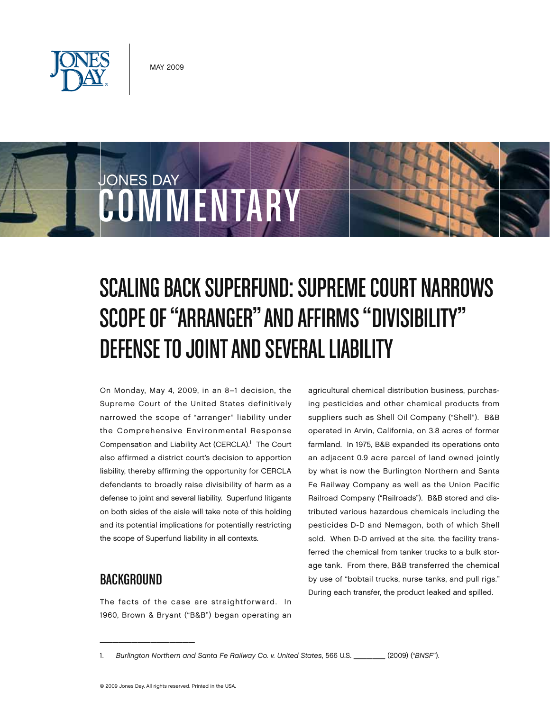



# Scaling Back Superfund: Supreme Court Narrows SCOPE OF "ARRANGER" AND AFFIRMS "DIVISIBILITY" DEFENSE TO JOINT AND SEVERAL LIABILITY

On Monday, May 4, 2009, in an 8–1 decision, the Supreme Court of the United States definitively narrowed the scope of "arranger" liability under the Comprehensive Environmental Response Compensation and Liability Act (CERCLA).<sup>1</sup> The Court also affirmed a district court's decision to apportion liability, thereby affirming the opportunity for CERCLA defendants to broadly raise divisibility of harm as a defense to joint and several liability. Superfund litigants on both sides of the aisle will take note of this holding and its potential implications for potentially restricting the scope of Superfund liability in all contexts.

## Background

 $\overline{\phantom{a}}$  , and the set of the set of the set of the set of the set of the set of the set of the set of the set of the set of the set of the set of the set of the set of the set of the set of the set of the set of the s

The facts of the case are straightforward. In 1960, Brown & Bryant ("B&B") began operating an agricultural chemical distribution business, purchasing pesticides and other chemical products from suppliers such as Shell Oil Company ("Shell"). B&B operated in Arvin, California, on 3.8 acres of former farmland. In 1975, B&B expanded its operations onto an adjacent 0.9 acre parcel of land owned jointly by what is now the Burlington Northern and Santa Fe Railway Company as well as the Union Pacific Railroad Company ("Railroads"). B&B stored and distributed various hazardous chemicals including the pesticides D-D and Nemagon, both of which Shell sold. When D-D arrived at the site, the facility transferred the chemical from tanker trucks to a bulk storage tank. From there, B&B transferred the chemical by use of "bobtail trucks, nurse tanks, and pull rigs." During each transfer, the product leaked and spilled.

<sup>1.</sup> *Burlington Northern and Santa Fe Railway Co. v. United States*, 566 U.S. \_\_\_\_\_ (2009) ("*BNSF*").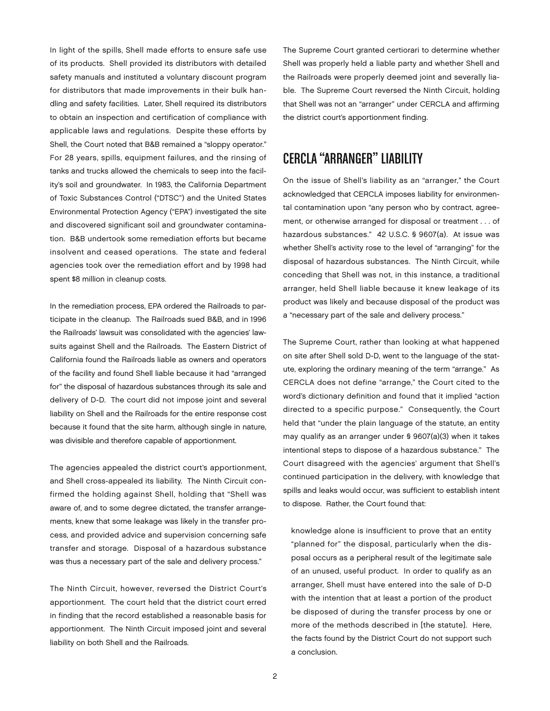In light of the spills, Shell made efforts to ensure safe use of its products. Shell provided its distributors with detailed safety manuals and instituted a voluntary discount program for distributors that made improvements in their bulk handling and safety facilities. Later, Shell required its distributors to obtain an inspection and certification of compliance with applicable laws and regulations. Despite these efforts by Shell, the Court noted that B&B remained a "sloppy operator." For 28 years, spills, equipment failures, and the rinsing of tanks and trucks allowed the chemicals to seep into the facility's soil and groundwater. In 1983, the California Department of Toxic Substances Control ("DTSC") and the United States Environmental Protection Agency ("EPA") investigated the site and discovered significant soil and groundwater contamination. B&B undertook some remediation efforts but became insolvent and ceased operations. The state and federal agencies took over the remediation effort and by 1998 had spent \$8 million in cleanup costs.

In the remediation process, EPA ordered the Railroads to participate in the cleanup. The Railroads sued B&B, and in 1996 the Railroads' lawsuit was consolidated with the agencies' lawsuits against Shell and the Railroads. The Eastern District of California found the Railroads liable as owners and operators of the facility and found Shell liable because it had "arranged for" the disposal of hazardous substances through its sale and delivery of D-D. The court did not impose joint and several liability on Shell and the Railroads for the entire response cost because it found that the site harm, although single in nature, was divisible and therefore capable of apportionment.

The agencies appealed the district court's apportionment, and Shell cross-appealed its liability. The Ninth Circuit confirmed the holding against Shell, holding that "Shell was aware of, and to some degree dictated, the transfer arrangements, knew that some leakage was likely in the transfer process, and provided advice and supervision concerning safe transfer and storage. Disposal of a hazardous substance was thus a necessary part of the sale and delivery process."

The Ninth Circuit, however, reversed the District Court's apportionment. The court held that the district court erred in finding that the record established a reasonable basis for apportionment. The Ninth Circuit imposed joint and several liability on both Shell and the Railroads.

The Supreme Court granted certiorari to determine whether Shell was properly held a liable party and whether Shell and the Railroads were properly deemed joint and severally liable. The Supreme Court reversed the Ninth Circuit, holding that Shell was not an "arranger" under CERCLA and affirming the district court's apportionment finding.

## CERCLA "Arranger" Liability

On the issue of Shell's liability as an "arranger," the Court acknowledged that CERCLA imposes liability for environmental contamination upon "any person who by contract, agreement, or otherwise arranged for disposal or treatment . . . of hazardous substances." 42 U.S.C. § 9607(a). At issue was whether Shell's activity rose to the level of "arranging" for the disposal of hazardous substances. The Ninth Circuit, while conceding that Shell was not, in this instance, a traditional arranger, held Shell liable because it knew leakage of its product was likely and because disposal of the product was a "necessary part of the sale and delivery process."

The Supreme Court, rather than looking at what happened on site after Shell sold D-D, went to the language of the statute, exploring the ordinary meaning of the term "arrange." As CERCLA does not define "arrange," the Court cited to the word's dictionary definition and found that it implied "action directed to a specific purpose." Consequently, the Court held that "under the plain language of the statute, an entity may qualify as an arranger under § 9607(a)(3) when it takes intentional steps to dispose of a hazardous substance." The Court disagreed with the agencies' argument that Shell's continued participation in the delivery, with knowledge that spills and leaks would occur, was sufficient to establish intent to dispose. Rather, the Court found that:

knowledge alone is insufficient to prove that an entity "planned for" the disposal, particularly when the disposal occurs as a peripheral result of the legitimate sale of an unused, useful product. In order to qualify as an arranger, Shell must have entered into the sale of D-D with the intention that at least a portion of the product be disposed of during the transfer process by one or more of the methods described in [the statute]. Here, the facts found by the District Court do not support such a conclusion.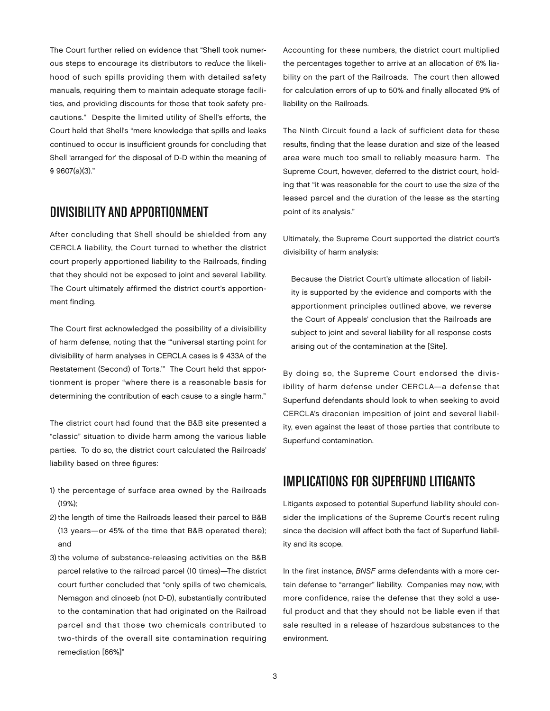The Court further relied on evidence that "Shell took numerous steps to encourage its distributors to *reduce* the likelihood of such spills providing them with detailed safety manuals, requiring them to maintain adequate storage facilities, and providing discounts for those that took safety precautions." Despite the limited utility of Shell's efforts, the Court held that Shell's "mere knowledge that spills and leaks continued to occur is insufficient grounds for concluding that Shell 'arranged for' the disposal of D-D within the meaning of § 9607(a)(3)."

### Divisibilityand Apportionment

After concluding that Shell should be shielded from any CERCLA liability, the Court turned to whether the district court properly apportioned liability to the Railroads, finding that they should not be exposed to joint and several liability. The Court ultimately affirmed the district court's apportionment finding.

The Court first acknowledged the possibility of a divisibility of harm defense, noting that the "'universal starting point for divisibility of harm analyses in CERCLA cases is § 433A of the Restatement (Second) of Torts.'" The Court held that apportionment is proper "where there is a reasonable basis for determining the contribution of each cause to a single harm."

The district court had found that the B&B site presented a "classic" situation to divide harm among the various liable parties. To do so, the district court calculated the Railroads' liability based on three figures:

- 1) the percentage of surface area owned by the Railroads (19%);
- 2) the length of time the Railroads leased their parcel to B&B (13 years—or 45% of the time that B&B operated there); and
- 3) the volume of substance-releasing activities on the B&B parcel relative to the railroad parcel (10 times)—The district court further concluded that "only spills of two chemicals, Nemagon and dinoseb (not D-D), substantially contributed to the contamination that had originated on the Railroad parcel and that those two chemicals contributed to two-thirds of the overall site contamination requiring remediation [66%]"

Accounting for these numbers, the district court multiplied the percentages together to arrive at an allocation of 6% liability on the part of the Railroads. The court then allowed for calculation errors of up to 50% and finally allocated 9% of liability on the Railroads.

The Ninth Circuit found a lack of sufficient data for these results, finding that the lease duration and size of the leased area were much too small to reliably measure harm. The Supreme Court, however, deferred to the district court, holding that "it was reasonable for the court to use the size of the leased parcel and the duration of the lease as the starting point of its analysis."

Ultimately, the Supreme Court supported the district court's divisibility of harm analysis:

Because the District Court's ultimate allocation of liability is supported by the evidence and comports with the apportionment principles outlined above, we reverse the Court of Appeals' conclusion that the Railroads are subject to joint and several liability for all response costs arising out of the contamination at the [Site].

By doing so, the Supreme Court endorsed the divisibility of harm defense under CERCLA—a defense that Superfund defendants should look to when seeking to avoid CERCLA's draconian imposition of joint and several liability, even against the least of those parties that contribute to Superfund contamination.

## Implications for Superfund Litigants

Litigants exposed to potential Superfund liability should consider the implications of the Supreme Court's recent ruling since the decision will affect both the fact of Superfund liability and its scope.

In the first instance, *BNSF* arms defendants with a more certain defense to "arranger" liability. Companies may now, with more confidence, raise the defense that they sold a useful product and that they should not be liable even if that sale resulted in a release of hazardous substances to the environment.